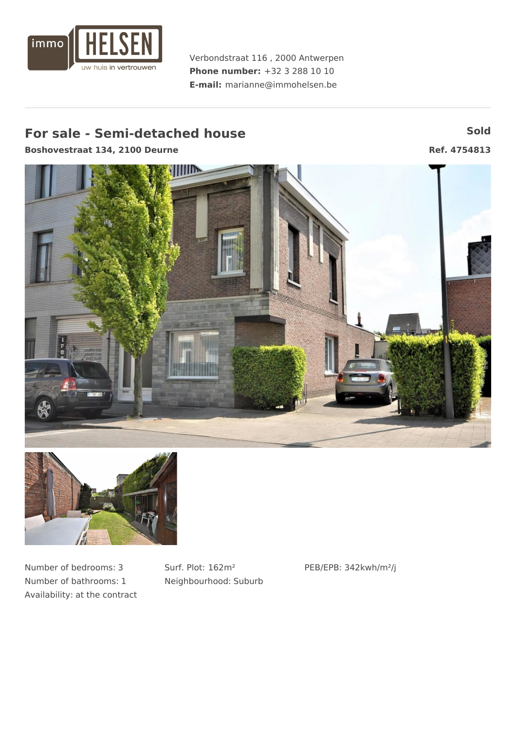

Verbondstraat 116 , 2000 Antwerpen **Phone number:** +32 3 288 10 10 **E-mail:** marianne@immohelsen.be

# **For** sale **-** Semi-detached house **Sold** Sold

**Boshovestraat 134, 2100 Deurne Ref. 4754813**





Number of bedrooms: 3 Number of bathrooms: 1 Availability: at the contract Surf. Plot: 162m² Neighbourhood: Suburb PEB/EPB: 342kwh/m²/j